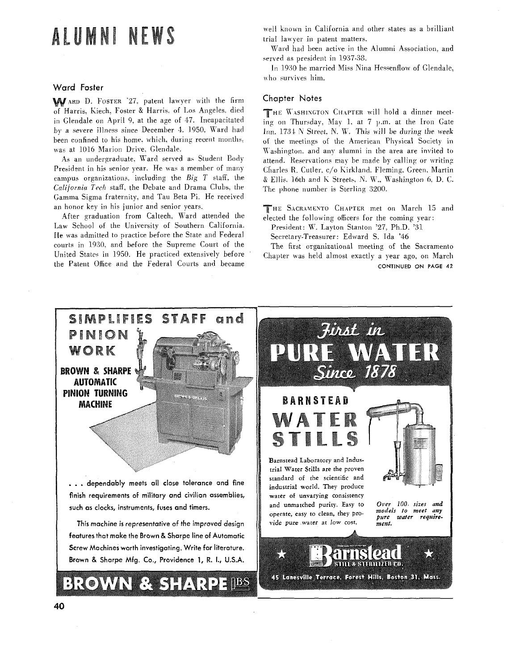# ALUMNI NEWS

### Ward Foster

WARD D. FOSTER '27, patent lawyer with the firm of Harris, Kiech, Foster & Harris, of Los Angeles, died in Glendale on April 9, at the age of 47. Incapacitated by a severe illness since December 4, 1950, Ward had been confined to his home, which, during recent months, was at 1016 Marion Drive, Glendale.

As an undergraduate. Ward served as Student Body President in his senior year. He was a member of many campus organizations, including the  $Big$   $T$  staff, the California Tech staff, the Debate and Drama Clubs, the Gamma Sigma fraternity, and Tau Beta Pi. He received an honor key in his junior and senior years.

After graduation from Caltech, Ward attended the Law School of the University of Southern California. He was admitted to practice before the State and Federal courts in 1930, and before the Supreme Court of the United States in 1950. He practiced extensively before the Patent Office and the Federal Courts and became

well known in California and other states as a brilliant trial lawyer in patent matters.

Ward had been active in the Alumni Association, and served as president in 1937-38.

In 1930 he married Miss Nina Hessenflow of Glendale, who survives him.

### **Chapter Notes**

THE WASHINGTON CHAPTER will hold a dinner meeting on Thursday, May 1. at 7 p.m. at the Iron Gate Inn, 1734 N Street, N. W. This will be during the week of the meetings of the American Physical Society in Washington, and any alumni in the area are invited to attend. Reservations may be made by calling or writing Charles R. Cutler, c/o Kirkland. Fleming. Green, Martin & Ellis, 16th and K Streets, N. W., Washington 6, D. C. The phone number is Sterling 3200.

THE SACRAMENTO CHAPTER met on March 15 and elected the following officers for the coming year:

President: W. Layton Stanton '27, Ph.D. '31 Secretary-Treasurer: Edward S. Ida '46

The first organizational meeting of the Sacramento Chapter was held almost exactly a year ago, on March

CONTINUED ON PAGE 42